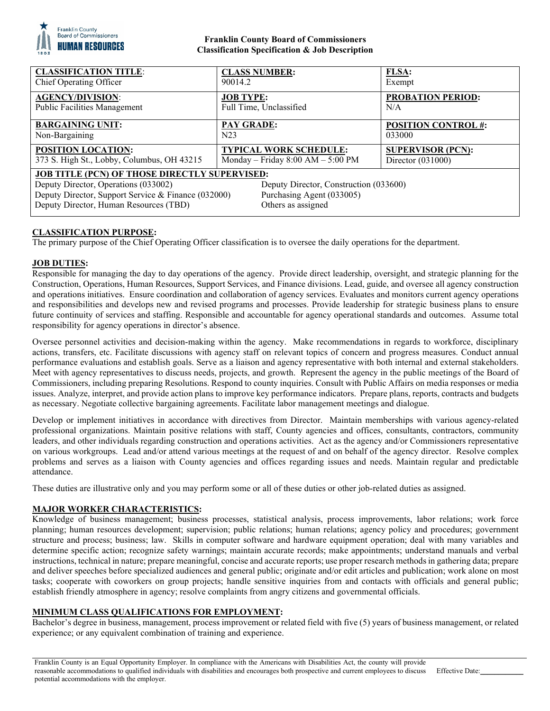

## **Franklin County Board of Commissioners Classification Specification & Job Description**

| <b>CLASSIFICATION TITLE:</b>                                                                                                                                                                                                                                                        | <b>CLASS NUMBER:</b>                | <b>FLSA:</b>               |
|-------------------------------------------------------------------------------------------------------------------------------------------------------------------------------------------------------------------------------------------------------------------------------------|-------------------------------------|----------------------------|
| Chief Operating Officer                                                                                                                                                                                                                                                             | 90014.2                             | Exempt                     |
| <b>AGENCY/DIVISION:</b>                                                                                                                                                                                                                                                             | <b>JOB TYPE:</b>                    | <b>PROBATION PERIOD:</b>   |
| <b>Public Facilities Management</b>                                                                                                                                                                                                                                                 | Full Time, Unclassified             | N/A                        |
| <b>BARGAINING UNIT:</b>                                                                                                                                                                                                                                                             | <b>PAY GRADE:</b>                   | <b>POSITION CONTROL #:</b> |
| Non-Bargaining                                                                                                                                                                                                                                                                      | N <sub>23</sub>                     | 033000                     |
| <b>POSITION LOCATION:</b>                                                                                                                                                                                                                                                           | <b>TYPICAL WORK SCHEDULE:</b>       | <b>SUPERVISOR (PCN):</b>   |
| 373 S. High St., Lobby, Columbus, OH 43215                                                                                                                                                                                                                                          | Monday – Friday $8:00 AM - 5:00 PM$ | Director $(031000)$        |
| JOB TITLE (PCN) OF THOSE DIRECTLY SUPERVISED:<br>Deputy Director, Operations (033002)<br>Deputy Director, Construction (033600)<br>Deputy Director, Support Service & Finance (032000)<br>Purchasing Agent (033005)<br>Others as assigned<br>Deputy Director, Human Resources (TBD) |                                     |                            |

# **CLASSIFICATION PURPOSE:**

The primary purpose of the Chief Operating Officer classification is to oversee the daily operations for the department.

## **JOB DUTIES:**

Responsible for managing the day to day operations of the agency. Provide direct leadership, oversight, and strategic planning for the Construction, Operations, Human Resources, Support Services, and Finance divisions. Lead, guide, and oversee all agency construction and operations initiatives. Ensure coordination and collaboration of agency services. Evaluates and monitors current agency operations and responsibilities and develops new and revised programs and processes. Provide leadership for strategic business plans to ensure future continuity of services and staffing. Responsible and accountable for agency operational standards and outcomes. Assume total responsibility for agency operations in director's absence.

Oversee personnel activities and decision-making within the agency. Make recommendations in regards to workforce, disciplinary actions, transfers, etc. Facilitate discussions with agency staff on relevant topics of concern and progress measures. Conduct annual performance evaluations and establish goals. Serve as a liaison and agency representative with both internal and external stakeholders. Meet with agency representatives to discuss needs, projects, and growth. Represent the agency in the public meetings of the Board of Commissioners, including preparing Resolutions. Respond to county inquiries. Consult with Public Affairs on media responses or media issues. Analyze, interpret, and provide action plans to improve key performance indicators. Prepare plans, reports, contracts and budgets as necessary. Negotiate collective bargaining agreements. Facilitate labor management meetings and dialogue.

Develop or implement initiatives in accordance with directives from Director. Maintain memberships with various agency-related professional organizations. Maintain positive relations with staff, County agencies and offices, consultants, contractors, community leaders, and other individuals regarding construction and operations activities. Act as the agency and/or Commissioners representative on various workgroups. Lead and/or attend various meetings at the request of and on behalf of the agency director. Resolve complex problems and serves as a liaison with County agencies and offices regarding issues and needs. Maintain regular and predictable attendance.

These duties are illustrative only and you may perform some or all of these duties or other job-related duties as assigned.

## **MAJOR WORKER CHARACTERISTICS:**

Knowledge of business management; business processes, statistical analysis, process improvements, labor relations; work force planning; human resources development; supervision; public relations; human relations; agency policy and procedures; government structure and process; business; law. Skills in computer software and hardware equipment operation; deal with many variables and determine specific action; recognize safety warnings; maintain accurate records; make appointments; understand manuals and verbal instructions, technical in nature; prepare meaningful, concise and accurate reports; use proper research methods in gathering data; prepare and deliver speeches before specialized audiences and general public; originate and/or edit articles and publication; work alone on most tasks; cooperate with coworkers on group projects; handle sensitive inquiries from and contacts with officials and general public; establish friendly atmosphere in agency; resolve complaints from angry citizens and governmental officials.

## **MINIMUM CLASS QUALIFICATIONS FOR EMPLOYMENT:**

Bachelor's degree in business, management, process improvement or related field with five (5) years of business management, or related experience; or any equivalent combination of training and experience.